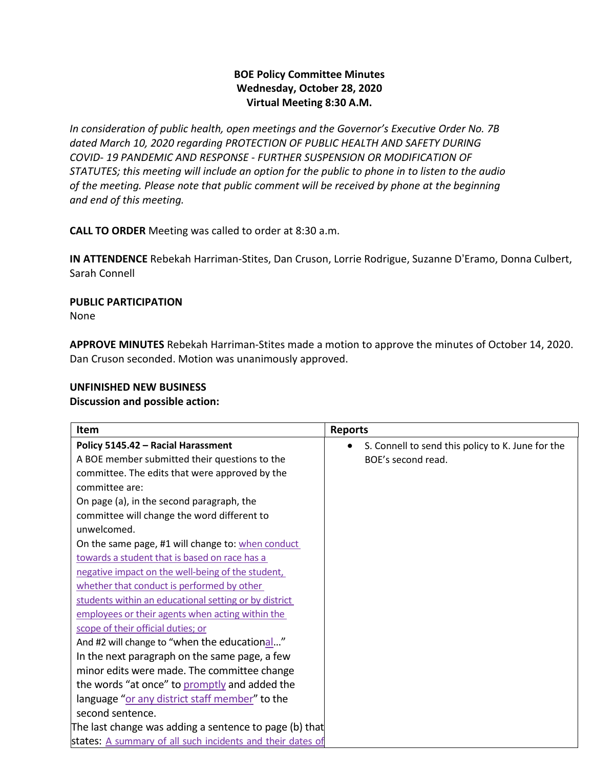## **BOE Policy Committee Minutes Wednesday, October 28, 2020 Virtual Meeting 8:30 A.M.**

*In consideration of public health, open meetings and the Governor's Executive Order No. 7B dated March 10, 2020 regarding PROTECTION OF PUBLIC HEALTH AND SAFETY DURING COVID- 19 PANDEMIC AND RESPONSE - FURTHER SUSPENSION OR MODIFICATION OF STATUTES; this meeting will include an option for the public to phone in to listen to the audio of the meeting. Please note that public comment will be received by phone at the beginning and end of this meeting.*

**CALL TO ORDER** Meeting was called to order at 8:30 a.m.

**IN ATTENDENCE** Rebekah Harriman-Stites, Dan Cruson, Lorrie Rodrigue, Suzanne D'Eramo, Donna Culbert, Sarah Connell

# **PUBLIC PARTICIPATION**

None

**APPROVE MINUTES** Rebekah Harriman-Stites made a motion to approve the minutes of October 14, 2020. Dan Cruson seconded. Motion was unanimously approved.

## **UNFINISHED NEW BUSINESS**

### **Discussion and possible action:**

| Item                                                       | <b>Reports</b>                                    |
|------------------------------------------------------------|---------------------------------------------------|
| Policy 5145.42 - Racial Harassment                         | S. Connell to send this policy to K. June for the |
| A BOE member submitted their questions to the              | BOE's second read.                                |
| committee. The edits that were approved by the             |                                                   |
| committee are:                                             |                                                   |
| On page (a), in the second paragraph, the                  |                                                   |
| committee will change the word different to                |                                                   |
| unwelcomed.                                                |                                                   |
| On the same page, #1 will change to: when conduct          |                                                   |
| towards a student that is based on race has a              |                                                   |
| negative impact on the well-being of the student,          |                                                   |
| whether that conduct is performed by other                 |                                                   |
| students within an educational setting or by district      |                                                   |
| employees or their agents when acting within the           |                                                   |
| scope of their official duties; or                         |                                                   |
| And #2 will change to "when the educational"               |                                                   |
| In the next paragraph on the same page, a few              |                                                   |
| minor edits were made. The committee change                |                                                   |
| the words "at once" to promptly and added the              |                                                   |
| language "or any district staff member" to the             |                                                   |
| second sentence.                                           |                                                   |
| The last change was adding a sentence to page (b) that     |                                                   |
| states: A summary of all such incidents and their dates of |                                                   |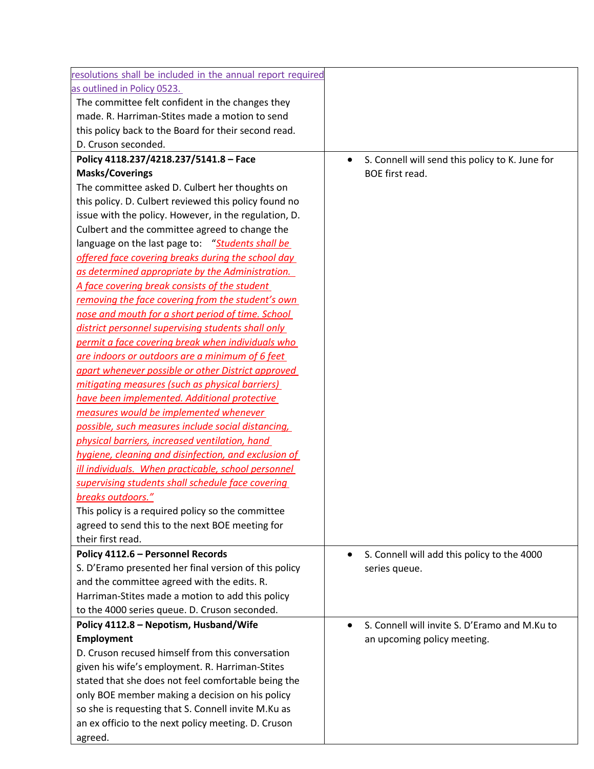| resolutions shall be included in the annual report required |                                                              |
|-------------------------------------------------------------|--------------------------------------------------------------|
| as outlined in Policy 0523.                                 |                                                              |
| The committee felt confident in the changes they            |                                                              |
| made. R. Harriman-Stites made a motion to send              |                                                              |
|                                                             |                                                              |
| this policy back to the Board for their second read.        |                                                              |
| D. Cruson seconded.                                         |                                                              |
| Policy 4118.237/4218.237/5141.8 - Face                      | S. Connell will send this policy to K. June for<br>$\bullet$ |
| <b>Masks/Coverings</b>                                      | BOE first read.                                              |
| The committee asked D. Culbert her thoughts on              |                                                              |
| this policy. D. Culbert reviewed this policy found no       |                                                              |
| issue with the policy. However, in the regulation, D.       |                                                              |
| Culbert and the committee agreed to change the              |                                                              |
| language on the last page to: "Students shall be            |                                                              |
| offered face covering breaks during the school day          |                                                              |
| as determined appropriate by the Administration.            |                                                              |
| A face covering break consists of the student               |                                                              |
| removing the face covering from the student's own           |                                                              |
| nose and mouth for a short period of time. School           |                                                              |
| district personnel supervising students shall only          |                                                              |
| permit a face covering break when individuals who           |                                                              |
| are indoors or outdoors are a minimum of 6 feet             |                                                              |
| apart whenever possible or other District approved          |                                                              |
| mitigating measures (such as physical barriers)             |                                                              |
| have been implemented. Additional protective                |                                                              |
| measures would be implemented whenever                      |                                                              |
| possible, such measures include social distancing,          |                                                              |
| physical barriers, increased ventilation, hand              |                                                              |
| hygiene, cleaning and disinfection, and exclusion of        |                                                              |
| ill individuals. When practicable, school personnel         |                                                              |
| supervising students shall schedule face covering           |                                                              |
| breaks outdoors."                                           |                                                              |
| This policy is a required policy so the committee           |                                                              |
| agreed to send this to the next BOE meeting for             |                                                              |
| their first read.                                           |                                                              |
| Policy 4112.6 - Personnel Records                           | S. Connell will add this policy to the 4000<br>$\bullet$     |
| S. D'Eramo presented her final version of this policy       | series queue.                                                |
| and the committee agreed with the edits. R.                 |                                                              |
| Harriman-Stites made a motion to add this policy            |                                                              |
| to the 4000 series queue. D. Cruson seconded.               |                                                              |
| Policy 4112.8 - Nepotism, Husband/Wife                      | S. Connell will invite S. D'Eramo and M.Ku to                |
| <b>Employment</b>                                           | an upcoming policy meeting.                                  |
| D. Cruson recused himself from this conversation            |                                                              |
| given his wife's employment. R. Harriman-Stites             |                                                              |
| stated that she does not feel comfortable being the         |                                                              |
| only BOE member making a decision on his policy             |                                                              |
| so she is requesting that S. Connell invite M.Ku as         |                                                              |
| an ex officio to the next policy meeting. D. Cruson         |                                                              |
| agreed.                                                     |                                                              |